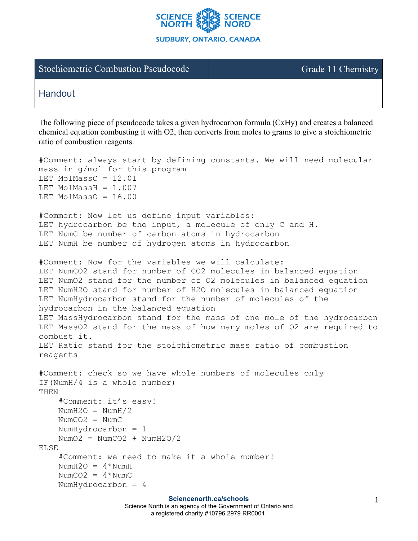

## Stochiometric Combustion Pseudocode Grade 11 Chemistry

## **Handout**

The following piece of pseudocode takes a given hydrocarbon formula (CxHy) and creates a balanced chemical equation combusting it with O2, then converts from moles to grams to give a stoichiometric ratio of combustion reagents.

```
#Comment: always start by defining constants. We will need molecular 
mass in g/mol for this program
LET MolMassC = 12.01LET MolMassH = 1.007LET MolMassO = 16.00#Comment: Now let us define input variables:
LET hydrocarbon be the input, a molecule of only C and H.
LET NumC be number of carbon atoms in hydrocarbon
LET NumH be number of hydrogen atoms in hydrocarbon
#Comment: Now for the variables we will calculate:
LET NumCO2 stand for number of CO2 molecules in balanced equation
LET NumO2 stand for the number of O2 molecules in balanced equation
LET NumH2O stand for number of H2O molecules in balanced equation
LET NumHydrocarbon stand for the number of molecules of the 
hydrocarbon in the balanced equation
LET MassHydrocarbon stand for the mass of one mole of the hydrocarbon
LET MassO2 stand for the mass of how many moles of O2 are required to 
combust it.
LET Ratio stand for the stoichiometric mass ratio of combustion 
reagents
#Comment: check so we have whole numbers of molecules only
IF(NumH/4 is a whole number)
THEN 
     #Comment: it's easy!
    NumH2O = NumH/2NumCO2 = NumC NumHydrocarbon = 1 
    NumO2 = NumCO2 + NumH2O/2ELSE
     #Comment: we need to make it a whole number!
    NumH2O = 4*NumH
    NumCO2 = 4*NumC
     NumHydrocarbon = 4
```